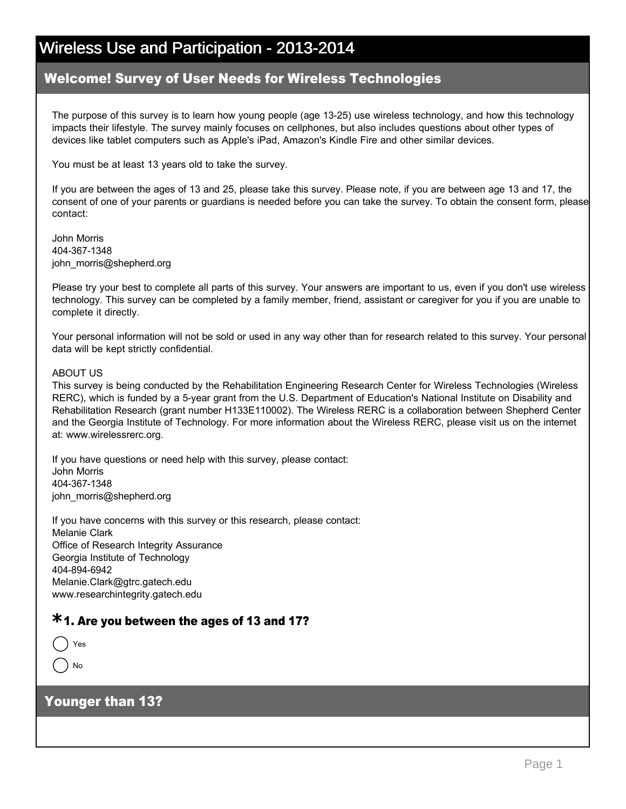#### Welcome! Survey of User Needs for Wireless Technologies

The purpose of this survey is to learn how young people (age 1325) use wireless technology, and how this technology impacts their lifestyle. The survey mainly focuses on cellphones, but also includes questions about other types of devices like tablet computers such as Apple's iPad, Amazon's Kindle Fire and other similar devices.

You must be at least 13 years old to take the survey.

If you are between the ages of 13 and 25, please take this survey. Please note, if you are between age 13 and 17, the consent of one of your parents or guardians is needed before you can take the survey. To obtain the consent form, please contact:

John Morris 404-367-1348 john\_morris@shepherd.org

Please try your best to complete all parts of this survey. Your answers are important to us, even if you don't use wireless technology. This survey can be completed by a family member, friend, assistant or caregiver for you if you are unable to complete it directly.

Your personal information will not be sold or used in any way other than for research related to this survey. Your personal data will be kept strictly confidential.

#### ABOUT US

This survey is being conducted by the Rehabilitation Engineering Research Center for Wireless Technologies (Wireless RERC), which is funded by a 5-year grant from the U.S. Department of Education's National Institute on Disability and Rehabilitation Research (grant number H133E110002). The Wireless RERC is a collaboration between Shepherd Center and the Georgia Institute of Technology. For more information about the Wireless RERC, please visit us on the internet at: www.wirelessrerc.org.

If you have questions or need help with this survey, please contact: John Morris 404-367-1348 john\_morris@shepherd.org

If you have concerns with this survey or this research, please contact: Melanie Clark Office of Research Integrity Assurance Georgia Institute of Technology 404-894-6942 Melanie.Clark@gtrc.gatech.edu www.researchintegrity.gatech.edu

### 1. Are you between the ages of 13 and 17? **\***

|--|--|

No

#### Younger than 13?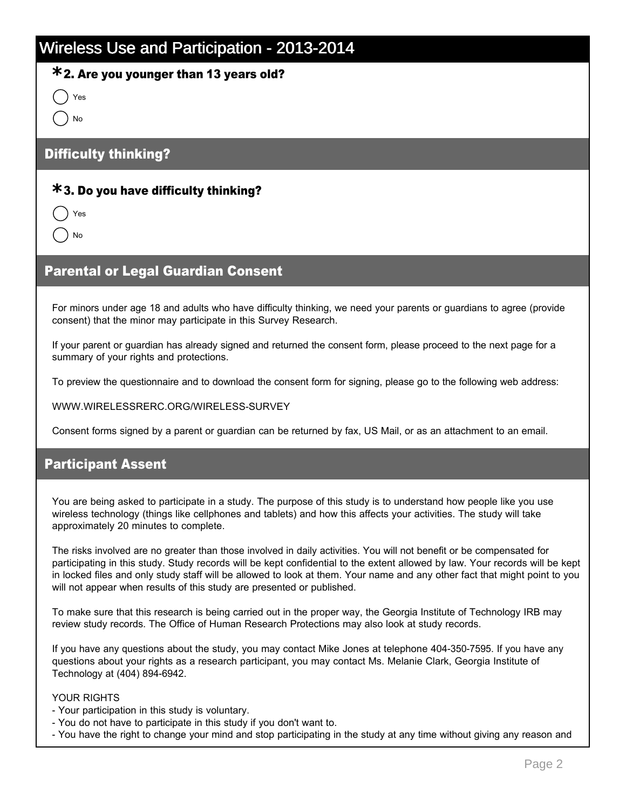### 2. Are you younger than 13 years old? **\***

Yes

nmlki No

### Difficulty thinking?

### 3. Do you have difficulty thinking? **\***

Yes No

### Parental or Legal Guardian Consent

For minors under age 18 and adults who have difficulty thinking, we need your parents or guardians to agree (provide consent) that the minor may participate in this Survey Research.

If your parent or guardian has already signed and returned the consent form, please proceed to the next page for a summary of your rights and protections.

To preview the questionnaire and to download the consent form for signing, please go to the following web address:

WWW.WIRELESSRERC.ORG/WIRELESS-SURVEY

Consent forms signed by a parent or guardian can be returned by fax, US Mail, or as an attachment to an email.

#### Participant Assent

You are being asked to participate in a study. The purpose of this study is to understand how people like you use wireless technology (things like cellphones and tablets) and how this affects your activities. The study will take approximately 20 minutes to complete.

The risks involved are no greater than those involved in daily activities. You will not benefit or be compensated for participating in this study. Study records will be kept confidential to the extent allowed by law. Your records will be kept in locked files and only study staff will be allowed to look at them. Your name and any other fact that might point to you will not appear when results of this study are presented or published.

To make sure that this research is being carried out in the proper way, the Georgia Institute of Technology IRB may review study records. The Office of Human Research Protections may also look at study records.

If you have any questions about the study, you may contact Mike Jones at telephone 404-350-7595. If you have any questions about your rights as a research participant, you may contact Ms. Melanie Clark, Georgia Institute of Technology at (404) 894-6942.

#### YOUR RIGHTS

- Your participation in this study is voluntary.
- You do not have to participate in this study if you don't want to.
- You have the right to change your mind and stop participating in the study at any time without giving any reason and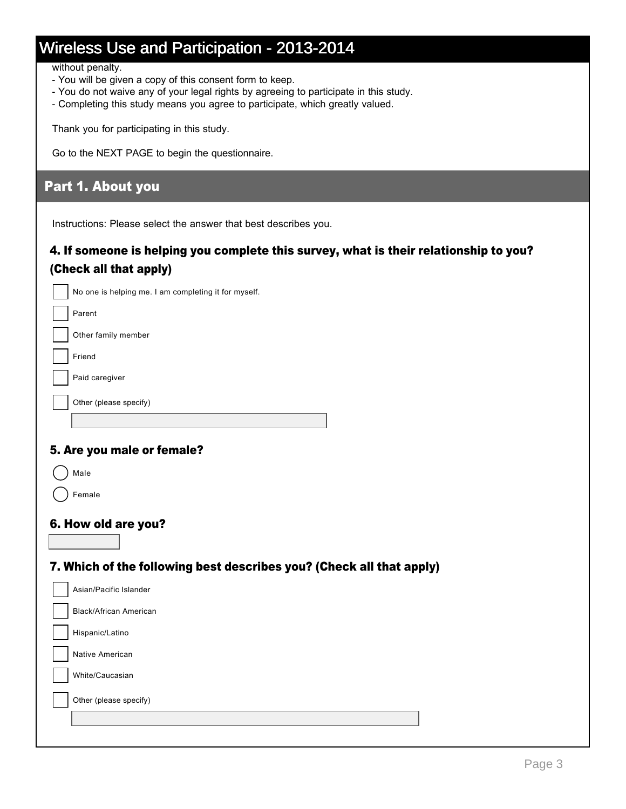without penalty.

- You will be given a copy of this consent form to keep.
- You do not waive any of your legal rights by agreeing to participate in this study.
- Completing this study means you agree to participate, which greatly valued.

Thank you for participating in this study.

Go to the NEXT PAGE to begin the questionnaire.

### Part 1. About you

Instructions: Please select the answer that best describes you.

### 4. If someone is helping you complete this survey, what is their relationship to you? (Check all that apply)

| No one is helping me. I am completing it for myself. |
|------------------------------------------------------|
|                                                      |

Parent

Other family member

Friend

Paid caregiver

Other (please specify)

### 5. Are you male or female?

Male

Female

#### 6. How old are you?

### 7. Which of the following best describes you? (Check all that apply)

| Asian/Pacific Islander        |
|-------------------------------|
| <b>Black/African American</b> |
| Hispanic/Latino               |
| Native American               |
| White/Caucasian               |
| Other (please specify)        |
|                               |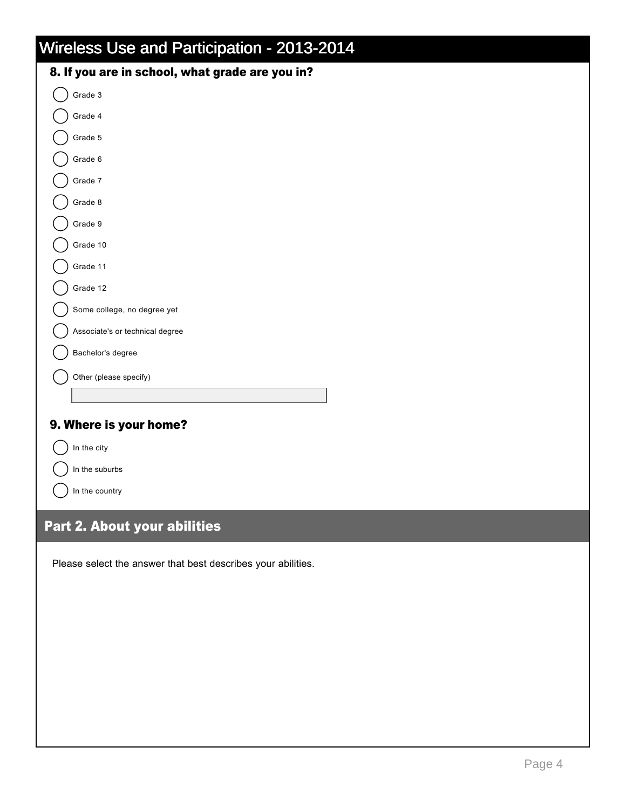| 8. If you are in school, what grade are you in? |
|-------------------------------------------------|
| $\bigcirc$ Grade 3                              |
| Srade 4                                         |

| Grade 5                     |  |
|-----------------------------|--|
| Grade 6                     |  |
| Grade 7                     |  |
| Grade 8                     |  |
| Grade 9                     |  |
| Grade 10                    |  |
| Grade 11                    |  |
| Grade 12                    |  |
| Some college, no degree yet |  |

Associate's or technical degree

Bachelor's degree

Other (please specify)

### 9. Where is your home?

|  | In the city |  |
|--|-------------|--|
|--|-------------|--|

Other

 $\bigcap$  In the suburbs

In the country

### Part 2. About your abilities

Please select the answer that best describes your abilities.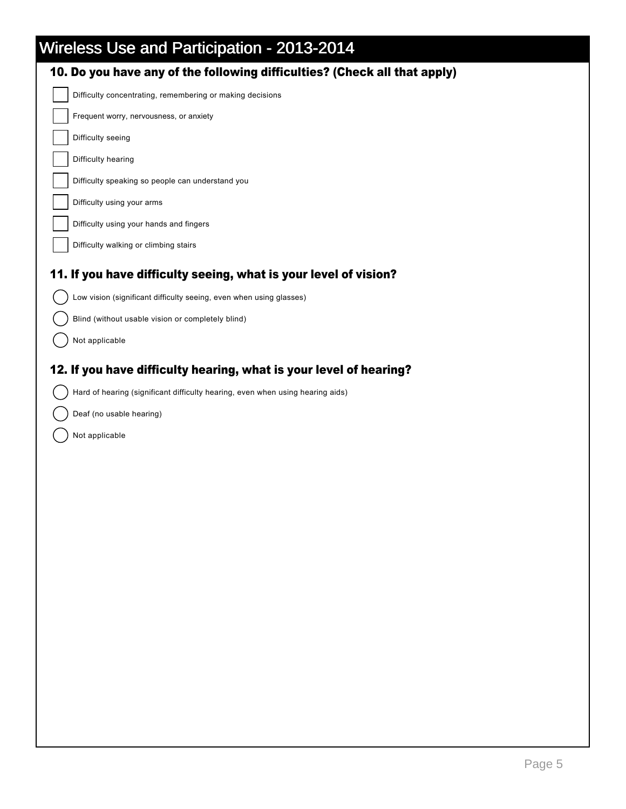| 10. Do you have any of the following difficulties? (Check all that apply)      |
|--------------------------------------------------------------------------------|
| Difficulty concentrating, remembering or making decisions                      |
| Frequent worry, nervousness, or anxiety                                        |
| Difficulty seeing                                                              |
| Difficulty hearing                                                             |
| Difficulty speaking so people can understand you                               |
| Difficulty using your arms                                                     |
| Difficulty using your hands and fingers                                        |
| Difficulty walking or climbing stairs                                          |
| 11. If you have difficulty seeing, what is your level of vision?               |
| Low vision (significant difficulty seeing, even when using glasses)            |
| Blind (without usable vision or completely blind)                              |
| Not applicable                                                                 |
| 12. If you have difficulty hearing, what is your level of hearing?             |
| Hard of hearing (significant difficulty hearing, even when using hearing aids) |
| Deaf (no usable hearing)                                                       |
| Not applicable                                                                 |
|                                                                                |
|                                                                                |
|                                                                                |
|                                                                                |
|                                                                                |
|                                                                                |
|                                                                                |
|                                                                                |
|                                                                                |
|                                                                                |
|                                                                                |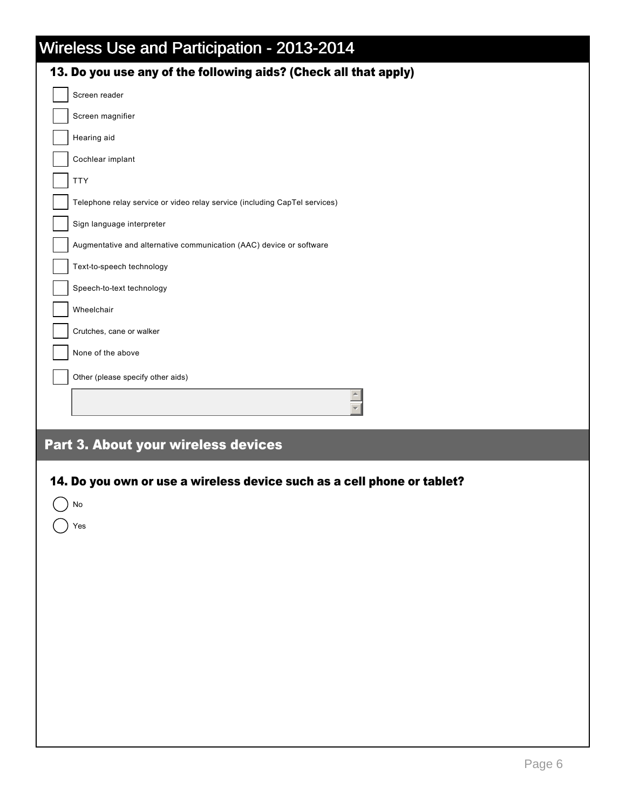|  |  | Wireless Use and Participation - 2013-2014 |  |  |
|--|--|--------------------------------------------|--|--|
|--|--|--------------------------------------------|--|--|

| wireless Use and Participation - 2013-2014<br>13. Do you use any of the following aids? (Check all that apply) |
|----------------------------------------------------------------------------------------------------------------|
| Screen reader                                                                                                  |
| Screen magnifier                                                                                               |
| Hearing aid                                                                                                    |
| Cochlear implant                                                                                               |
| <b>TTY</b>                                                                                                     |
| Telephone relay service or video relay service (including CapTel services)                                     |
| Sign language interpreter                                                                                      |
| Augmentative and alternative communication (AAC) device or software                                            |
| Text-to-speech technology                                                                                      |
| Speech-to-text technology                                                                                      |
| Wheelchair                                                                                                     |
| Crutches, cane or walker                                                                                       |
| None of the above                                                                                              |
|                                                                                                                |
| Other (please specify other aids)                                                                              |
|                                                                                                                |
| Part 3. About your wireless devices                                                                            |
| 14. Do you own or use a wireless device such as a cell phone or tablet?<br>) No<br>$\big)$ Yes                 |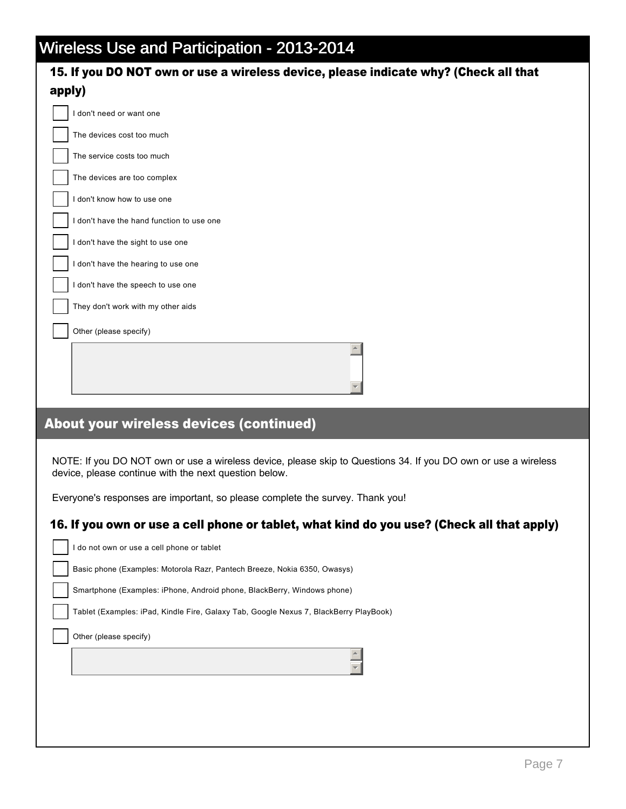|  |  | Wireless Use and Participation - 2013-2014. |
|--|--|---------------------------------------------|
|  |  |                                             |
|  |  |                                             |

| 15. If you DO NOT own or use a wireless device, please indicate why? (Check all that                                                                                    |
|-------------------------------------------------------------------------------------------------------------------------------------------------------------------------|
| apply)                                                                                                                                                                  |
| I don't need or want one                                                                                                                                                |
| The devices cost too much                                                                                                                                               |
| The service costs too much                                                                                                                                              |
| The devices are too complex                                                                                                                                             |
| I don't know how to use one                                                                                                                                             |
| I don't have the hand function to use one                                                                                                                               |
| I don't have the sight to use one                                                                                                                                       |
| I don't have the hearing to use one                                                                                                                                     |
| I don't have the speech to use one                                                                                                                                      |
| They don't work with my other aids                                                                                                                                      |
| Other (please specify)                                                                                                                                                  |
|                                                                                                                                                                         |
| About your wireless devices (continued)                                                                                                                                 |
| NOTE: If you DO NOT own or use a wireless device, please skip to Questions 34. If you DO own or use a wireless<br>device, please continue with the next question below. |
| Everyone's responses are important, so please complete the survey. Thank you!                                                                                           |
| 16. If you own or use a cell phone or tablet, what kind do you use? (Check all that apply)                                                                              |
|                                                                                                                                                                         |
| I do not own or use a cell phone or tablet                                                                                                                              |
| Basic phone (Examples: Motorola Razr, Pantech Breeze, Nokia 6350, Owasys)                                                                                               |
| Smartphone (Examples: iPhone, Android phone, BlackBerry, Windows phone)                                                                                                 |
| Tablet (Examples: iPad, Kindle Fire, Galaxy Tab, Google Nexus 7, BlackBerry PlayBook)                                                                                   |
| Other (please specify)                                                                                                                                                  |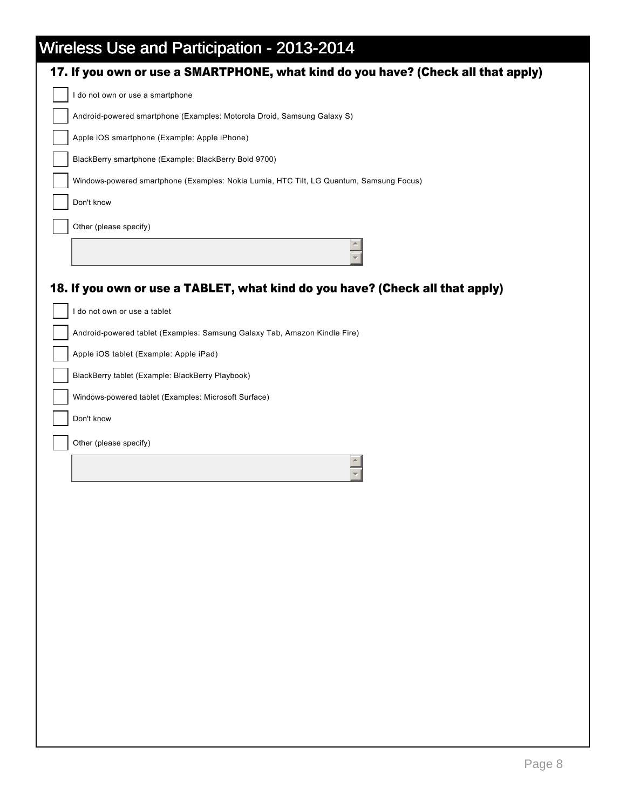| $\frac{1}{2}$ and $\frac{1}{2}$ and $\frac{1}{2}$ and $\frac{1}{2}$ and $\frac{1}{2}$ and $\frac{1}{2}$ and $\frac{1}{2}$ and $\frac{1}{2}$ and $\frac{1}{2}$ and $\frac{1}{2}$ and $\frac{1}{2}$ and $\frac{1}{2}$ and $\frac{1}{2}$ and $\frac{1}{2}$ and $\frac{1}{2}$ and $\frac{1}{2}$ a<br>17. If you own or use a SMARTPHONE, what kind do you have? (Check all that apply) |
|------------------------------------------------------------------------------------------------------------------------------------------------------------------------------------------------------------------------------------------------------------------------------------------------------------------------------------------------------------------------------------|
| I do not own or use a smartphone                                                                                                                                                                                                                                                                                                                                                   |
| Android-powered smartphone (Examples: Motorola Droid, Samsung Galaxy S)                                                                                                                                                                                                                                                                                                            |
| Apple iOS smartphone (Example: Apple iPhone)                                                                                                                                                                                                                                                                                                                                       |
| BlackBerry smartphone (Example: BlackBerry Bold 9700)                                                                                                                                                                                                                                                                                                                              |
| Windows-powered smartphone (Examples: Nokia Lumia, HTC Tilt, LG Quantum, Samsung Focus)                                                                                                                                                                                                                                                                                            |
| Don't know                                                                                                                                                                                                                                                                                                                                                                         |
| Other (please specify)                                                                                                                                                                                                                                                                                                                                                             |
|                                                                                                                                                                                                                                                                                                                                                                                    |
| 18. If you own or use a TABLET, what kind do you have? (Check all that apply)                                                                                                                                                                                                                                                                                                      |
| I do not own or use a tablet                                                                                                                                                                                                                                                                                                                                                       |
| Android-powered tablet (Examples: Samsung Galaxy Tab, Amazon Kindle Fire)                                                                                                                                                                                                                                                                                                          |
| Apple iOS tablet (Example: Apple iPad)                                                                                                                                                                                                                                                                                                                                             |
| BlackBerry tablet (Example: BlackBerry Playbook)                                                                                                                                                                                                                                                                                                                                   |
| Windows-powered tablet (Examples: Microsoft Surface)                                                                                                                                                                                                                                                                                                                               |
| Don't know                                                                                                                                                                                                                                                                                                                                                                         |
| Other (please specify)                                                                                                                                                                                                                                                                                                                                                             |
|                                                                                                                                                                                                                                                                                                                                                                                    |
|                                                                                                                                                                                                                                                                                                                                                                                    |
|                                                                                                                                                                                                                                                                                                                                                                                    |
|                                                                                                                                                                                                                                                                                                                                                                                    |
|                                                                                                                                                                                                                                                                                                                                                                                    |
|                                                                                                                                                                                                                                                                                                                                                                                    |
|                                                                                                                                                                                                                                                                                                                                                                                    |
|                                                                                                                                                                                                                                                                                                                                                                                    |
|                                                                                                                                                                                                                                                                                                                                                                                    |
|                                                                                                                                                                                                                                                                                                                                                                                    |
|                                                                                                                                                                                                                                                                                                                                                                                    |
|                                                                                                                                                                                                                                                                                                                                                                                    |
|                                                                                                                                                                                                                                                                                                                                                                                    |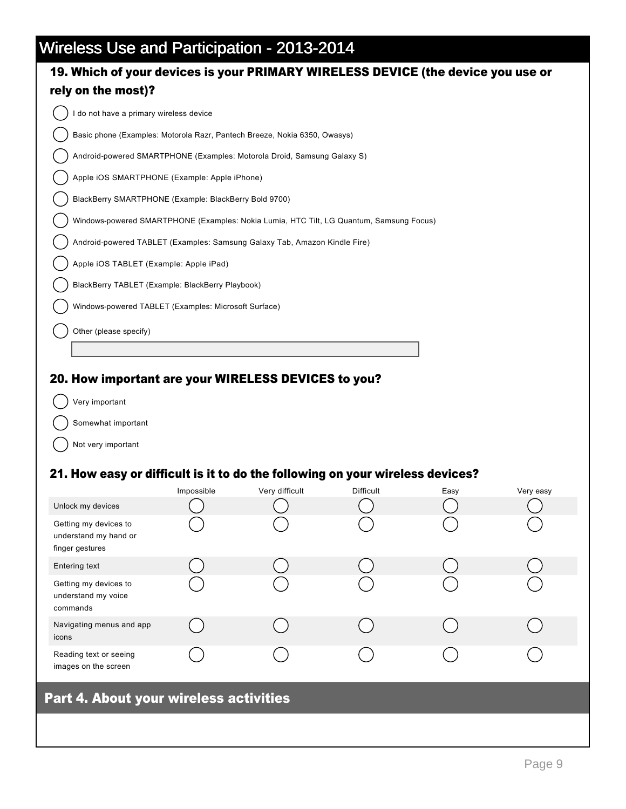## 19. Which of your devices is your PRIMARY WIRELESS DEVICE (the device you use or rely on the most)?

I do not have a primary wireless device

Basic phone (Examples: Motorola Razr, Pantech Breeze, Nokia 6350, Owasys)

Android-powered SMARTPHONE (Examples: Motorola Droid, Samsung Galaxy S)

Apple iOS SMARTPHONE (Example: Apple iPhone)

BlackBerry SMARTPHONE (Example: BlackBerry Bold 9700)

Windows-powered SMARTPHONE (Examples: Nokia Lumia, HTC Tilt, LG Quantum, Samsung Focus)

Android-powered TABLET (Examples: Samsung Galaxy Tab, Amazon Kindle Fire)

Apple iOS TABLET (Example: Apple iPad)

BlackBerry TABLET (Example: BlackBerry Playbook)

Windows-powered TABLET (Examples: Microsoft Surface)

Other (please specify)

#### 20. How important are your WIRELESS DEVICES to you?

Very important

Somewhat important

Not very important

#### 21. How easy or difficult is it to do the following on your wireless devices?

|                                                                   | Impossible | Very difficult | <b>Difficult</b> | Easy | Very easy |
|-------------------------------------------------------------------|------------|----------------|------------------|------|-----------|
| Unlock my devices                                                 |            |                |                  |      |           |
| Getting my devices to<br>understand my hand or<br>finger gestures |            |                |                  |      |           |
| Entering text                                                     |            |                |                  |      |           |
| Getting my devices to<br>understand my voice<br>commands          |            |                |                  |      |           |
| Navigating menus and app<br>icons                                 |            |                |                  |      |           |
| Reading text or seeing<br>images on the screen                    |            |                |                  |      |           |

### Part 4. About your wireless activities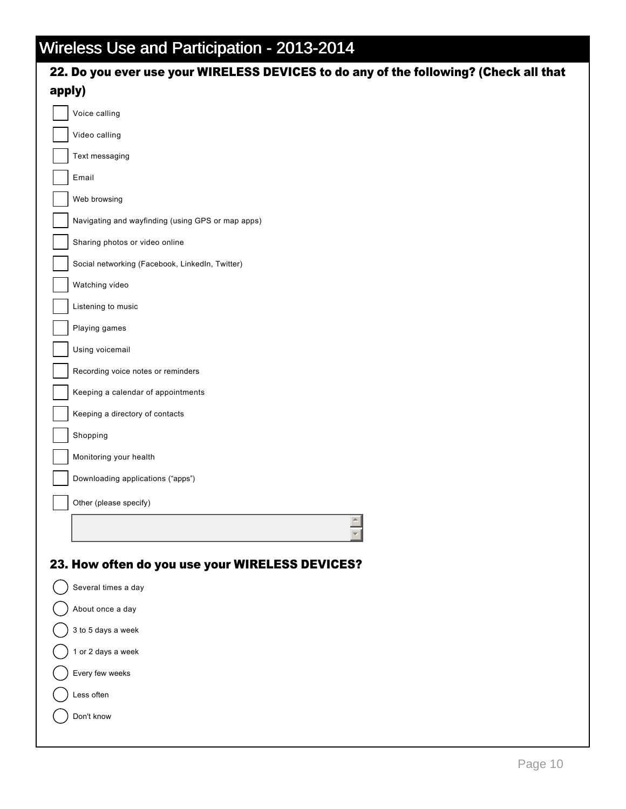| 22. Do you ever use your WIRELESS DEVICES to do any of the following? (Check all that |
|---------------------------------------------------------------------------------------|
| apply)                                                                                |
| Voice calling                                                                         |
| Video calling                                                                         |
| Text messaging                                                                        |
| Email                                                                                 |
| Web browsing                                                                          |
| Navigating and wayfinding (using GPS or map apps)                                     |
| Sharing photos or video online                                                        |
| Social networking (Facebook, LinkedIn, Twitter)                                       |
| Watching video                                                                        |
| Listening to music                                                                    |
| Playing games                                                                         |
| Using voicemail                                                                       |
| Recording voice notes or reminders                                                    |
| Keeping a calendar of appointments                                                    |
| Keeping a directory of contacts                                                       |
| Shopping                                                                              |
| Monitoring your health                                                                |
| Downloading applications ("apps")                                                     |
| Other (please specify)                                                                |
|                                                                                       |
|                                                                                       |
| 23. How often do you use your WIRELESS DEVICES?                                       |
| Several times a day                                                                   |
| About once a day                                                                      |
| 3 to 5 days a week                                                                    |
| 1 or 2 days a week                                                                    |
| Every few weeks                                                                       |
| Less often                                                                            |
|                                                                                       |
| Don't know                                                                            |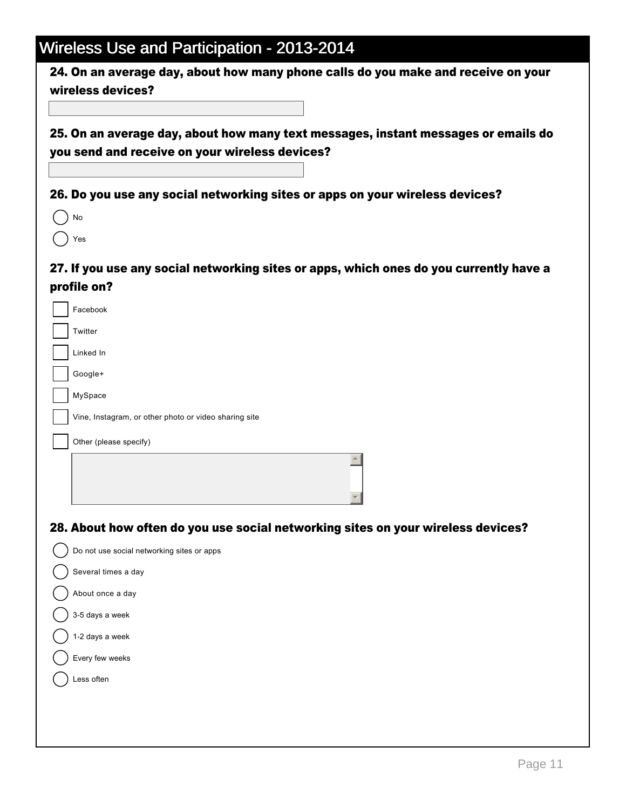24. On an average day, about how many phone calls do you make and receive on your wireless devices?

25. On an average day, about how many text messages, instant messages or emails do you send and receive on your wireless devices?

26. Do you use any social networking sites or apps on your wireless devices?

 $()$  No  $()$  Yes

### 27. If you use any social networking sites or apps, which ones do you currently have a profile on?

| Facebook                                                                         |
|----------------------------------------------------------------------------------|
| Twitter                                                                          |
| Linked In                                                                        |
| Google+                                                                          |
| MySpace                                                                          |
| Vine, Instagram, or other photo or video sharing site                            |
| Other (please specify)                                                           |
| $\blacktriangle$                                                                 |
|                                                                                  |
| 28. About how often do you use social networking sites on your wireless devices? |
| Do not use social networking sites or apps                                       |
| Several times a day                                                              |
| About once a day                                                                 |
| 3-5 days a week                                                                  |
| 1-2 days a week                                                                  |
| Every few weeks                                                                  |
| Less often                                                                       |
|                                                                                  |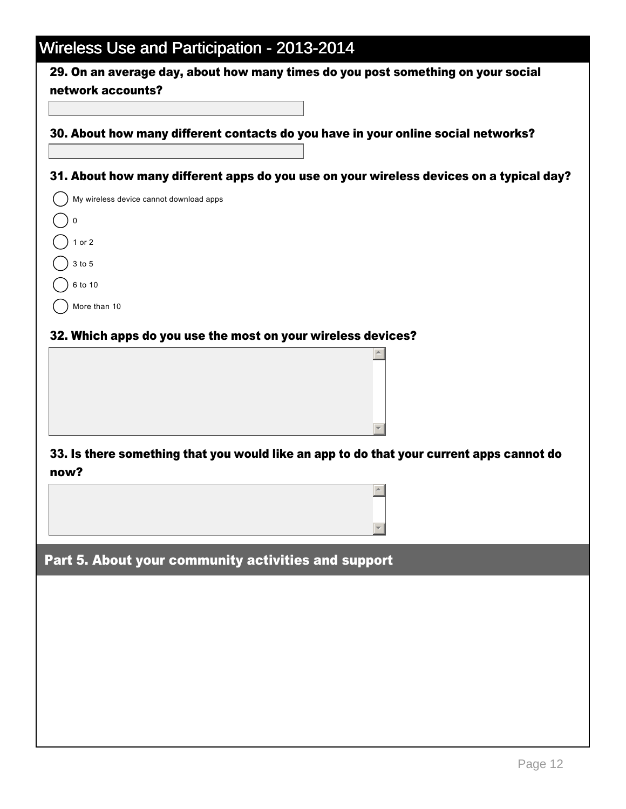29. On an average day, about how many times do you post something on your social network accounts?

30. About how many different contacts do you have in your online social networks?

31. About how many different apps do you use on your wireless devices on a typical day?

| My wireless device cannot download apps |
|-----------------------------------------|
| 0                                       |
| $1$ or $2$                              |
| 3 to 5                                  |
| 6 to 10                                 |
| More than 10                            |

#### 32. Which apps do you use the most on your wireless devices?

### 33. Is there something that you would like an app to do that your current apps cannot do now?

 $\blacktriangle$ 

 $\overline{\phantom{a}}$ 

 $\triangle$ 

 $\overline{\phantom{a}}$ 

Part 5. About your community activities and support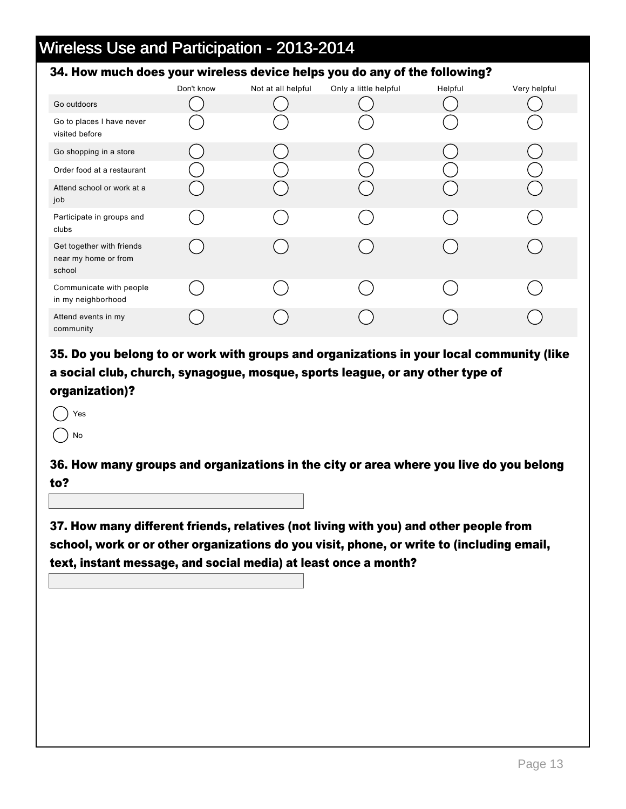#### 34. How much does your wireless device helps you do any of the following?

|                                                             | Don't know | Not at all helpful | Only a little helpful | Helpful | Very helpful |
|-------------------------------------------------------------|------------|--------------------|-----------------------|---------|--------------|
| Go outdoors                                                 |            |                    |                       |         |              |
| Go to places I have never<br>visited before                 |            |                    |                       |         |              |
| Go shopping in a store                                      |            |                    |                       |         |              |
| Order food at a restaurant                                  |            |                    |                       |         |              |
| Attend school or work at a<br>job                           |            |                    |                       |         |              |
| Participate in groups and<br>clubs                          |            |                    |                       |         |              |
| Get together with friends<br>near my home or from<br>school |            |                    |                       |         |              |
| Communicate with people<br>in my neighborhood               |            |                    |                       |         |              |
| Attend events in my<br>community                            |            |                    |                       |         |              |

35. Do you belong to or work with groups and organizations in your local community (like a social club, church, synagogue, mosque, sports league, or any other type of organization)?

- Yes
- No

36. How many groups and organizations in the city or area where you live do you belong to?

37. How many different friends, relatives (not living with you) and other people from school, work or or other organizations do you visit, phone, or write to (including email, text, instant message, and social media) at least once a month?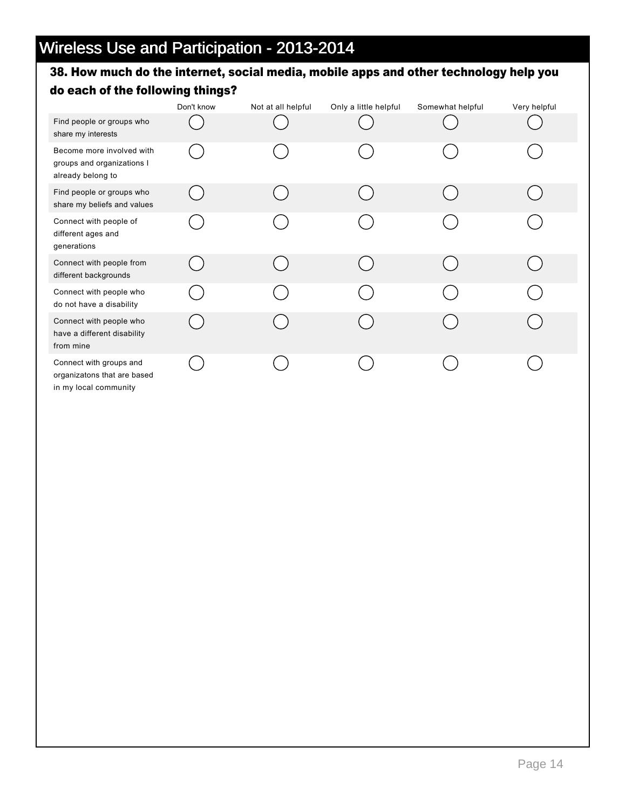### 38. How much do the internet, social media, mobile apps and other technology help you do each of the following things?

|                                                                                 | Don't know | Not at all helpful | Only a little helpful | Somewhat helpful | Very helpful |
|---------------------------------------------------------------------------------|------------|--------------------|-----------------------|------------------|--------------|
| Find people or groups who<br>share my interests                                 |            |                    |                       |                  |              |
| Become more involved with<br>groups and organizations I<br>already belong to    |            |                    |                       |                  |              |
| Find people or groups who<br>share my beliefs and values                        |            |                    |                       |                  |              |
| Connect with people of<br>different ages and<br>generations                     |            |                    |                       |                  |              |
| Connect with people from<br>different backgrounds                               |            |                    |                       |                  |              |
| Connect with people who<br>do not have a disability                             |            |                    |                       |                  |              |
| Connect with people who<br>have a different disability<br>from mine             |            |                    |                       |                  |              |
| Connect with groups and<br>organizatons that are based<br>in my local community |            |                    |                       |                  |              |